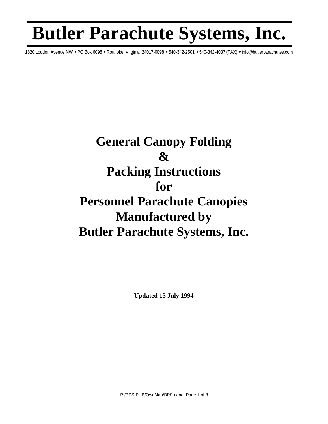## **Butler Parachute Systems, Inc.**

1820 Loudon Avenue NW • PO Box 6098 • Roanoke, Virginia 24017-0098 • 540-342-2501 • 540-342-4037 (FAX) • info@butlerparachutes.com

## **General Canopy Folding**   $\mathcal{X}$ **Packing Instructions for Personnel Parachute Canopies Manufactured by Butler Parachute Systems, Inc.**

**Updated 15 July 1994**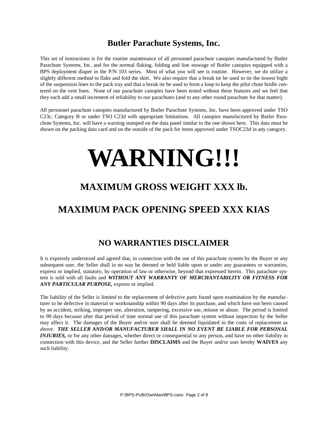## **Butler Parachute Systems, Inc.**

This set of instructions is for the routine maintenance of all personnel parachute canopies manufactured by Butler Parachute Systems, Inc. and for the normal flaking, folding and line stowage of Butler canopies equipped with a BPS deployment diaper in the P/N 103 series. Most of what you will see is routine. However, we do utilize a slightly different method to flake and fold the skirt. We also require that a break tie be used to tie the lowest bight of the suspension lines to the pack tray and that a break tie be used to form a loop to keep the pilot chute bridle centered on the vent lines. None of our parachute canopies have been tested without these features and we feel that they each add a small increment of reliability to our parachutes (and to any other round parachute for that matter).

All personnel parachute canopies manufactured by Butler Parachute Systems, Inc. have been approved under TSO C23c, Category B or under TSO C23d with appropriate limitations. All canopies manufactured by Butler Parachute Systems, Inc. will have a warning stamped on the data panel similar to the one shown here. This data must be shown on the packing data card and on the outside of the pack for items approved under TSOC23d in any category.

# **WARNING!!!**

## **MAXIMUM GROSS WEIGHT XXX lb.**

## **MAXIMUM PACK OPENING SPEED XXX KIAS**

## **NO WARRANTIES DISCLAIMER**

It is expressly understood and agreed that, in connection with the use of this parachute system by the Buyer or any subsequent user, the Seller shall in no way be deemed or held liable upon or under any guarantees or warranties, express or implied, statutory, by operation of law or otherwise, beyond that expressed herein. This parachute system is sold with all faults and *WITHOUT ANY WARRANTY OF MERCHANTABILITY OR FITNESS FOR ANY PARTICULAR PURPOSE,* express or implied.

The liability of the Seller is limited to the replacement of defective parts found upon examination by the manufacturer to be defective in material or workmanship within 90 days after its purchase, and which have not been caused by an accident, striking, improper use, alteration, tampering, excessive use, misuse or abuse. The period is limited to 90 days because after that period of time normal use of this parachute system without inspection by the Seller may affect it. The damages of the Buyer and/or user shall be deemed liquidated in the costs of replacement as above. *THE SELLER AND/OR MANUFACTURER SHALL IN NO EVENT BE LIABLE FOR PERSONAL INJURIES,* or for any other damages, whether direct or consequential to any person, and have no other liability in connection with this device, and the Seller further **DISCLAIMS** and the Buyer and/or user hereby **WAIVES** any such liability.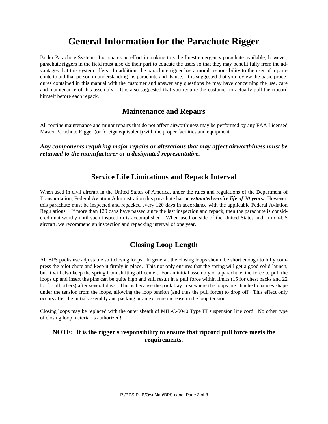## **General Information for the Parachute Rigger**

Butler Parachute Systems, Inc. spares no effort in making this the finest emergency parachute available; however, parachute riggers in the field must also do their part to educate the users so that they may benefit fully from the advantages that this system offers. In addition, the parachute rigger has a moral responsibility to the user of a parachute to aid that person in understanding his parachute and its use. It is suggested that you review the basic procedures contained in this manual with the customer and answer any questions he may have concerning the use, care and maintenance of this assembly. It is also suggested that you require the customer to actually pull the ripcord himself before each repack.

#### **Maintenance and Repairs**

All routine maintenance and minor repairs that do not affect airworthiness may be performed by any FAA Licensed Master Parachute Rigger (or foreign equivalent) with the proper facilities and equipment.

*Any components requiring major repairs or alterations that may affect airworthiness must be returned to the manufacturer or a designated representative.* 

#### **Service Life Limitations and Repack Interval**

When used in civil aircraft in the United States of America, under the rules and regulations of the Department of Transportation, Federal Aviation Administration this parachute has an *estimated service life of 20 years.* However, this parachute must be inspected and repacked every 120 days in accordance with the applicable Federal Aviation Regulations. If more than 120 days have passed since the last inspection and repack, then the parachute is considered unairworthy until such inspection is accomplished. When used outside of the United States and in non-US aircraft, we recommend an inspection and repacking interval of one year.

### **Closing Loop Length**

All BPS packs use adjustable soft closing loops. In general, the closing loops should be short enough to fully compress the pilot chute and keep it firmly in place. This not only ensures that the spring will get a good solid launch, but it will also keep the spring from shifting off center. For an initial assembly of a parachute, the force to pull the loops up and insert the pins can be quite high and still result in a pull force within limits (15 for chest packs and 22 lb. for all others) after several days. This is because the pack tray area where the loops are attached changes shape under the tension from the loops, allowing the loop tension (and thus the pull force) to drop off. This effect only occurs after the initial assembly and packing or an extreme increase in the loop tension.

Closing loops may be replaced with the outer sheath of MIL-C-5040 Type III suspension line cord. No other type of closing loop material is authorized!

#### **NOTE: It is the rigger's responsibility to ensure that ripcord pull force meets the requirements.**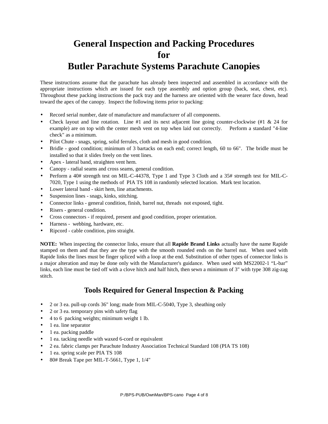## **General Inspection and Packing Procedures for Butler Parachute Systems Parachute Canopies**

These instructions assume that the parachute has already been inspected and assembled in accordance with the appropriate instructions which are issued for each type assembly and option group (back, seat, chest, etc). Throughout these packing instructions the pack tray and the harness are oriented with the wearer face down, head toward the apex of the canopy. Inspect the following items prior to packing:

- Record serial number, date of manufacture and manufacturer of all components.
- Check layout and line rotation. Line #1 and its next adjacent line going counter-clockwise (#1  $\&$  24 for example) are on top with the center mesh vent on top when laid out correctly. Perform a standard "4-line check" as a minimum.
- Pilot Chute snags, spring, solid ferrules, cloth and mesh in good condition.
- Bridle good condition; minimum of 3 bartacks on each end; correct length, 60 to 66". The bridle must be installed so that it slides freely on the vent lines.
- Apex lateral band, straighten vent hem.
- Canopy radial seams and cross seams, general condition.
- Perform a 40# strength test on MIL-C-44378, Type 1 and Type 3 Cloth and a 35# strength test for MIL-C-7020, Type 1 using the methods of PIA TS 108 in randomly selected location. Mark test location.
- Lower lateral band skirt hem, line attachments.
- Suspension lines snags, kinks, stitching.
- Connector links general condition, finish, barrel nut, threads not exposed, tight.
- Risers general condition.
- Cross connectors if required, present and good condition, proper orientation.
- Harness webbing, hardware, etc.
- Ripcord cable condition, pins straight.

**NOTE:** When inspecting the connector links, ensure that all **Rapide Brand Links** actually have the name Rapide stamped on them and that they are the type with the smooth rounded ends on the barrel nut. When used with Rapide links the lines must be finger spliced with a loop at the end. Substitution of other types of connector links is a major alteration and may be done only with the Manufacturer's guidance. When used with MS22002-1 "L-bar" links, each line must be tied off with a clove hitch and half hitch, then sewn a minimum of 3" with type 308 zig-zag stitch.

#### **Tools Required for General Inspection & Packing**

- 2 or 3 ea. pull-up cords 36" long; made from MIL-C-5040, Type 3, sheathing only
- 2 or 3 ea. temporary pins with safety flag
- 4 to 6 packing weights; minimum weight 1 lb.
- 1 ea. line separator
- 1 ea. packing paddle
- 1 ea. tacking needle with waxed 6-cord or equivalent
- 2 ea. fabric clamps per Parachute Industry Association Technical Standard 108 (PIA TS 108)
- 1 ea. spring scale per PIA TS 108
- 80# Break Tape per MIL-T-5661, Type 1, 1/4"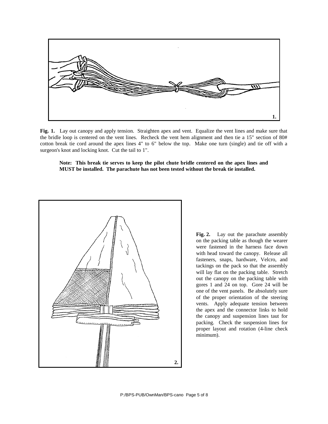

**Fig. 1.** Lay out canopy and apply tension. Straighten apex and vent. Equalize the vent lines and make sure that the bridle loop is centered on the vent lines. Recheck the vent hem alignment and then tie a 15" section of 80# cotton break tie cord around the apex lines 4" to 6" below the top. Make one turn (single) and tie off with a surgeon's knot and locking knot. Cut the tail to 1".

**Note: This break tie serves to keep the pilot chute bridle centered on the apex lines and MUST be installed. The parachute has not been tested without the break tie installed.**



**Fig. 2.** Lay out the parachute assembly on the packing table as though the wearer were fastened in the harness face down with head toward the canopy. Release all fasteners, snaps, hardware, Velcro, and tackings on the pack so that the assembly will lay flat on the packing table. Stretch out the canopy on the packing table with gores 1 and 24 on top. Gore 24 will be one of the vent panels. Be absolutely sure of the proper orientation of the steering vents. Apply adequate tension between the apex and the connector links to hold the canopy and suspension lines taut for packing. Check the suspension lines for proper layout and rotation (4-line check minimum).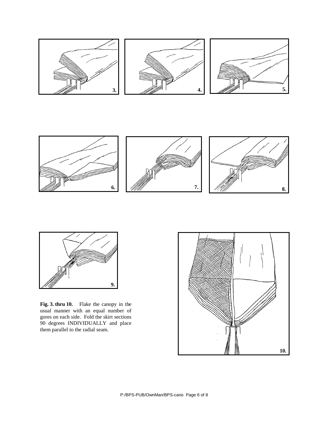





**Fig. 3. thru 10.** Flake the canopy in the usual manner with an equal number of gores on each side. Fold the skirt sections 90 degrees INDIVIDUALLY and place them parallel to the radial seam.

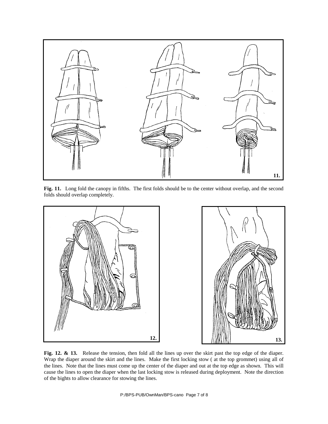

**Fig. 11.** Long fold the canopy in fifths. The first folds should be to the center without overlap, and the second folds should overlap completely.



**Fig. 12. & 13.** Release the tension, then fold all the lines up over the skirt past the top edge of the diaper. Wrap the diaper around the skirt and the lines. Make the first locking stow ( at the top grommet) using all of the lines. Note that the lines must come up the center of the diaper and out at the top edge as shown. This will cause the lines to open the diaper when the last locking stow is released during deployment. Note the direction of the bights to allow clearance for stowing the lines.